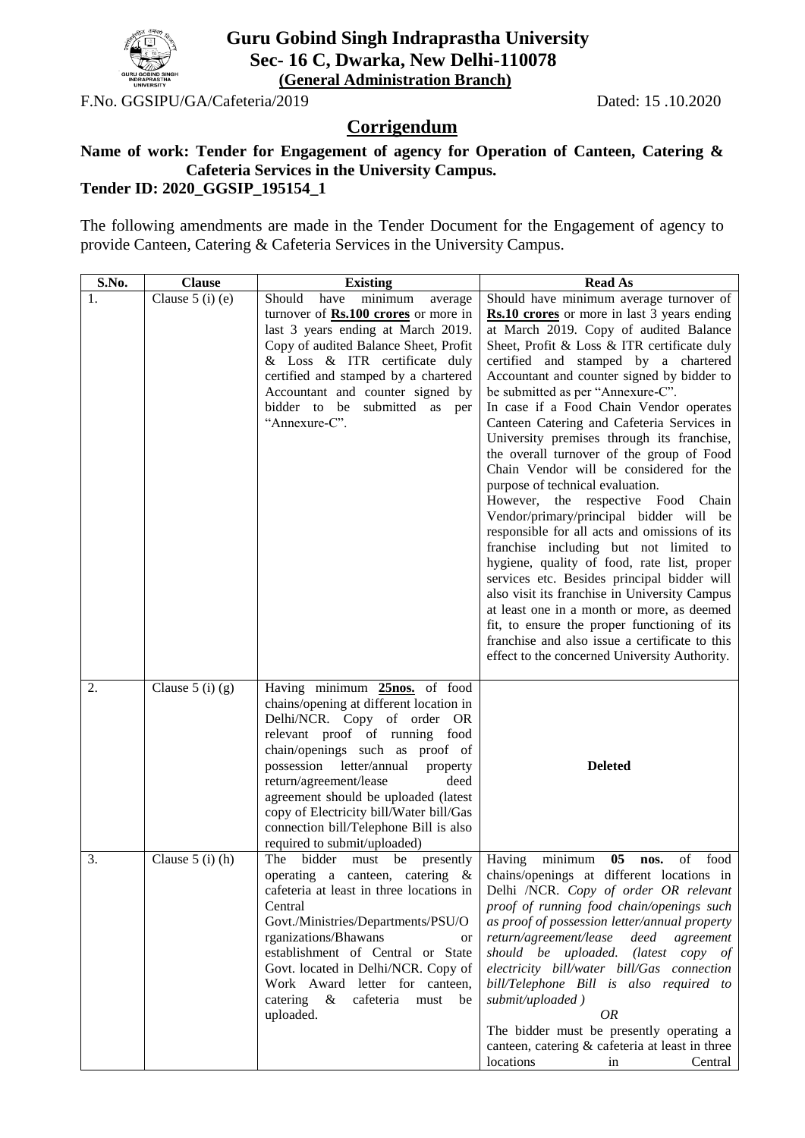

## **Guru Gobind Singh Indraprastha University Sec- 16 C, Dwarka, New Delhi-110078 (General Administration Branch)**

F.No. GGSIPU/GA/Cafeteria/2019 Dated: 15 .10.2020

## **Corrigendum**

## **Name of work: Tender for Engagement of agency for Operation of Canteen, Catering & Cafeteria Services in the University Campus.**

## **Tender ID: 2020\_GGSIP\_195154\_1**

The following amendments are made in the Tender Document for the Engagement of agency to provide Canteen, Catering & Cafeteria Services in the University Campus.

| S.No. | <b>Clause</b>      | <b>Existing</b>                                                          | <b>Read As</b>                                                                          |
|-------|--------------------|--------------------------------------------------------------------------|-----------------------------------------------------------------------------------------|
| 1.    | Clause $5$ (i) (e) | Should<br>have<br>minimum<br>average                                     | Should have minimum average turnover of                                                 |
|       |                    | turnover of Rs.100 crores or more in                                     | Rs.10 crores or more in last 3 years ending                                             |
|       |                    | last 3 years ending at March 2019.                                       | at March 2019. Copy of audited Balance                                                  |
|       |                    | Copy of audited Balance Sheet, Profit                                    | Sheet, Profit & Loss & ITR certificate duly                                             |
|       |                    | & Loss & ITR certificate duly                                            | certified and stamped by a chartered                                                    |
|       |                    | certified and stamped by a chartered<br>Accountant and counter signed by | Accountant and counter signed by bidder to<br>be submitted as per "Annexure-C".         |
|       |                    | bidder to be submitted as per                                            | In case if a Food Chain Vendor operates                                                 |
|       |                    | "Annexure-C".                                                            | Canteen Catering and Cafeteria Services in                                              |
|       |                    |                                                                          | University premises through its franchise,                                              |
|       |                    |                                                                          | the overall turnover of the group of Food                                               |
|       |                    |                                                                          | Chain Vendor will be considered for the                                                 |
|       |                    |                                                                          | purpose of technical evaluation.                                                        |
|       |                    |                                                                          | However, the respective Food Chain                                                      |
|       |                    |                                                                          | Vendor/primary/principal bidder will be                                                 |
|       |                    |                                                                          | responsible for all acts and omissions of its<br>franchise including but not limited to |
|       |                    |                                                                          | hygiene, quality of food, rate list, proper                                             |
|       |                    |                                                                          | services etc. Besides principal bidder will                                             |
|       |                    |                                                                          | also visit its franchise in University Campus                                           |
|       |                    |                                                                          | at least one in a month or more, as deemed                                              |
|       |                    |                                                                          | fit, to ensure the proper functioning of its                                            |
|       |                    |                                                                          | franchise and also issue a certificate to this                                          |
|       |                    |                                                                          | effect to the concerned University Authority.                                           |
| 2.    | Clause $5$ (i) (g) | Having minimum 25nos. of food                                            |                                                                                         |
|       |                    | chains/opening at different location in                                  |                                                                                         |
|       |                    | Delhi/NCR. Copy of order OR                                              |                                                                                         |
|       |                    | relevant proof of running food                                           |                                                                                         |
|       |                    | chain/openings such as proof of<br>possession letter/annual<br>property  | <b>Deleted</b>                                                                          |
|       |                    | return/agreement/lease<br>deed                                           |                                                                                         |
|       |                    | agreement should be uploaded (latest                                     |                                                                                         |
|       |                    | copy of Electricity bill/Water bill/Gas                                  |                                                                                         |
|       |                    | connection bill/Telephone Bill is also                                   |                                                                                         |
|       |                    | required to submit/uploaded)                                             |                                                                                         |
| 3.    | Clause $5$ (i) (h) | The bidder<br>must be presently                                          | minimum<br>05 <sub>o</sub><br>of<br>food<br>Having<br>nos.                              |
|       |                    |                                                                          | operating a canteen, catering $\&$ chains/openings at different locations in            |
|       |                    | cafeteria at least in three locations in<br>Central                      | Delhi /NCR. Copy of order OR relevant<br>proof of running food chain/openings such      |
|       |                    | Govt./Ministries/Departments/PSU/O                                       | as proof of possession letter/annual property                                           |
|       |                    | rganizations/Bhawans<br>or                                               | return/agreement/lease deed agreement                                                   |
|       |                    | establishment of Central or State                                        | should be uploaded. (latest copy of                                                     |
|       |                    | Govt. located in Delhi/NCR. Copy of                                      | electricity bill/water bill/Gas connection                                              |
|       |                    | Work Award letter for canteen,                                           | bill/Telephone Bill is also required to                                                 |
|       |                    | catering & cafeteria must<br>be                                          | submit/uploaded)                                                                        |
|       |                    | uploaded.                                                                | <i>OR</i><br>The bidder must be presently operating a                                   |
|       |                    |                                                                          | canteen, catering & cafeteria at least in three                                         |
|       |                    |                                                                          | locations<br>Central<br>in                                                              |